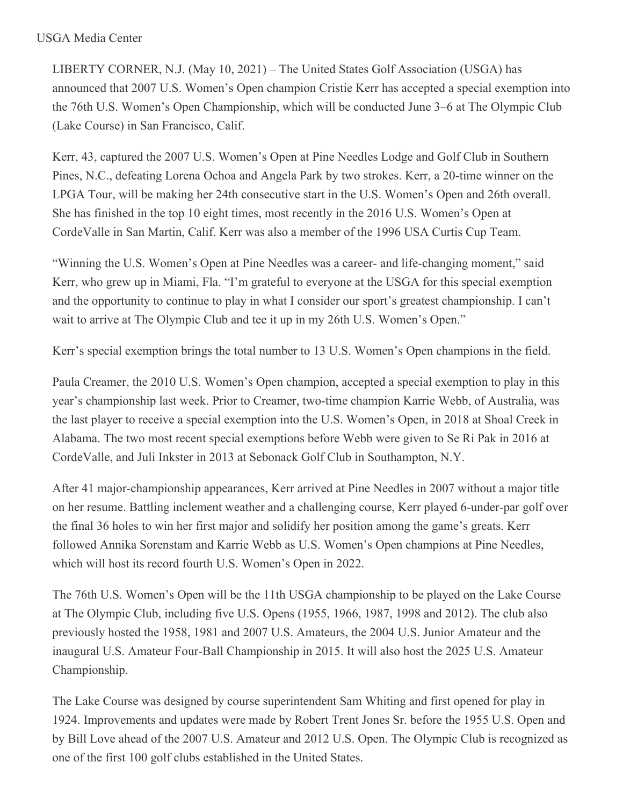## USGA Media Center

LIBERTY CORNER, N.J. (May 10, 2021) – The United States Golf Association (USGA) has announced that 2007 U.S. Women's Open champion Cristie Kerr has accepted a special exemption into the 76th U.S. Women's Open Championship, which will be conducted June 3–6 at The Olympic Club (Lake Course) in San Francisco, Calif.

Kerr, 43, captured the 2007 U.S. Women's Open at Pine Needles Lodge and Golf Club in Southern Pines, N.C., defeating Lorena Ochoa and Angela Park by two strokes. Kerr, a 20-time winner on the LPGA Tour, will be making her 24th consecutive start in the U.S. Women's Open and 26th overall. She has finished in the top 10 eight times, most recently in the 2016 U.S. Women's Open at CordeValle in San Martin, Calif. Kerr was also a member of the 1996 USA Curtis Cup Team.

"Winning the U.S. Women's Open at Pine Needles was a career- and life-changing moment," said Kerr, who grew up in Miami, Fla. "I'm grateful to everyone at the USGA for this special exemption and the opportunity to continue to play in what I consider our sport's greatest championship. I can't wait to arrive at The Olympic Club and tee it up in my 26th U.S. Women's Open."

Kerr's special exemption brings the total number to 13 U.S. Women's Open champions in the field.

Paula Creamer, the 2010 U.S. Women's Open champion, accepted a special exemption to play in this year's championship last week. Prior to Creamer, two-time champion Karrie Webb, of Australia, was the last player to receive a special exemption into the U.S. Women's Open, in 2018 at Shoal Creek in Alabama. The two most recent special exemptions before Webb were given to Se Ri Pak in 2016 at CordeValle, and Juli Inkster in 2013 at Sebonack Golf Club in Southampton, N.Y.

After 41 major-championship appearances, Kerr arrived at Pine Needles in 2007 without a major title on her resume. Battling inclement weather and a challenging course, Kerr played 6-under-par golf over the final 36 holes to win her first major and solidify her position among the game's greats. Kerr followed Annika Sorenstam and Karrie Webb as U.S. Women's Open champions at Pine Needles, which will host its record fourth U.S. Women's Open in 2022.

The 76th U.S. Women's Open will be the 11th USGA championship to be played on the Lake Course at The Olympic Club, including five U.S. Opens (1955, 1966, 1987, 1998 and 2012). The club also previously hosted the 1958, 1981 and 2007 U.S. Amateurs, the 2004 U.S. Junior Amateur and the inaugural U.S. Amateur Four-Ball Championship in 2015. It will also host the 2025 U.S. Amateur Championship.

The Lake Course was designed by course superintendent Sam Whiting and first opened for play in 1924. Improvements and updates were made by Robert Trent Jones Sr. before the 1955 U.S. Open and by Bill Love ahead of the 2007 U.S. Amateur and 2012 U.S. Open. The Olympic Club is recognized as one of the first 100 golf clubs established in the United States.